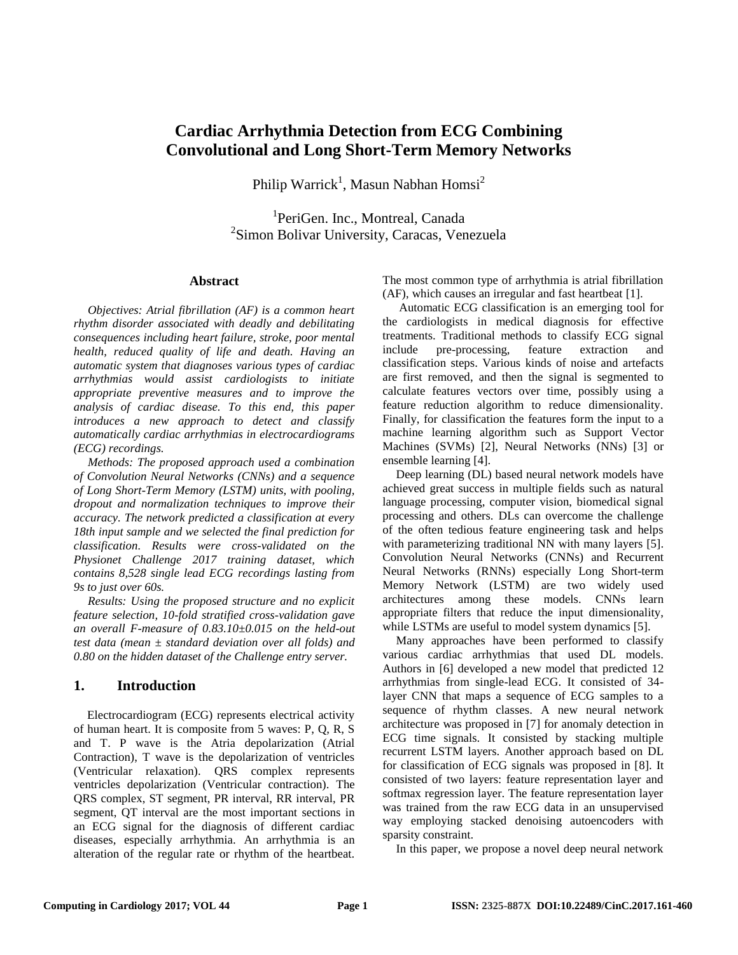# **Cardiac Arrhythmia Detection from ECG Combining Convolutional and Long Short-Term Memory Networks**

Philip Warrick<sup>1</sup>, Masun Nabhan Homsi<sup>2</sup>

<sup>1</sup>PeriGen. Inc., Montreal, Canada <sup>2</sup>Simon Bolivar University, Caracas, Venezuela

#### **Abstract**

*Objectives: Atrial fibrillation (AF) is a common heart rhythm disorder associated with deadly and debilitating consequences including heart failure, stroke, poor mental health, reduced quality of life and death. Having an automatic system that diagnoses various types of cardiac arrhythmias would assist cardiologists to initiate appropriate preventive measures and to improve the analysis of cardiac disease. To this end, this paper introduces a new approach to detect and classify automatically cardiac arrhythmias in electrocardiograms (ECG) recordings.*

*Methods: The proposed approach used a combination of Convolution Neural Networks (CNNs) and a sequence of Long Short-Term Memory (LSTM) units, with pooling, dropout and normalization techniques to improve their accuracy. The network predicted a classification at every 18th input sample and we selected the final prediction for classification. Results were cross-validated on the Physionet Challenge 2017 training dataset, which contains 8,528 single lead ECG recordings lasting from 9s to just over 60s.*

*Results: Using the proposed structure and no explicit feature selection, 10-fold stratified cross-validation gave an overall F-measure of 0.83.10±0.015 on the held-out test data (mean ± standard deviation over all folds) and 0.80 on the hidden dataset of the Challenge entry server.*

### **1. Introduction**

Electrocardiogram (ECG) represents electrical activity of human heart. It is composite from 5 waves: P, Q, R, S and T. P wave is the Atria depolarization (Atrial Contraction), T wave is the depolarization of ventricles (Ventricular relaxation). QRS complex represents ventricles depolarization (Ventricular contraction). The QRS complex, ST segment, PR interval, RR interval, PR segment, QT interval are the most important sections in an ECG signal for the diagnosis of different cardiac diseases, especially arrhythmia. An arrhythmia is an alteration of the regular rate or rhythm of the heartbeat. The most common type of arrhythmia is atrial fibrillation (AF), which causes an irregular and fast heartbeat [1].

Automatic ECG classification is an emerging tool for the cardiologists in medical diagnosis for effective treatments. Traditional methods to classify ECG signal include pre-processing, feature extraction and classification steps. Various kinds of noise and artefacts are first removed, and then the signal is segmented to calculate features vectors over time, possibly using a feature reduction algorithm to reduce dimensionality. Finally, for classification the features form the input to a machine learning algorithm such as Support Vector Machines (SVMs) [2], Neural Networks (NNs) [3] or ensemble learning [4].

Deep learning (DL) based neural network models have achieved great success in multiple fields such as natural language processing, computer vision, biomedical signal processing and others. DLs can overcome the challenge of the often tedious feature engineering task and helps with parameterizing traditional NN with many layers [5]. Convolution Neural Networks (CNNs) and Recurrent Neural Networks (RNNs) especially Long Short-term Memory Network (LSTM) are two widely used architectures among these models. CNNs learn appropriate filters that reduce the input dimensionality, while LSTMs are useful to model system dynamics [5].

Many approaches have been performed to classify various cardiac arrhythmias that used DL models. Authors in [6] developed a new model that predicted 12 arrhythmias from single-lead ECG. It consisted of 34 layer CNN that maps a sequence of ECG samples to a sequence of rhythm classes. A new neural network architecture was proposed in [7] for anomaly detection in ECG time signals. It consisted by stacking multiple recurrent LSTM layers. Another approach based on DL for classification of ECG signals was proposed in [8]. It consisted of two layers: feature representation layer and softmax regression layer. The feature representation layer was trained from the raw ECG data in an unsupervised way employing stacked denoising autoencoders with sparsity constraint.

In this paper, we propose a novel deep neural network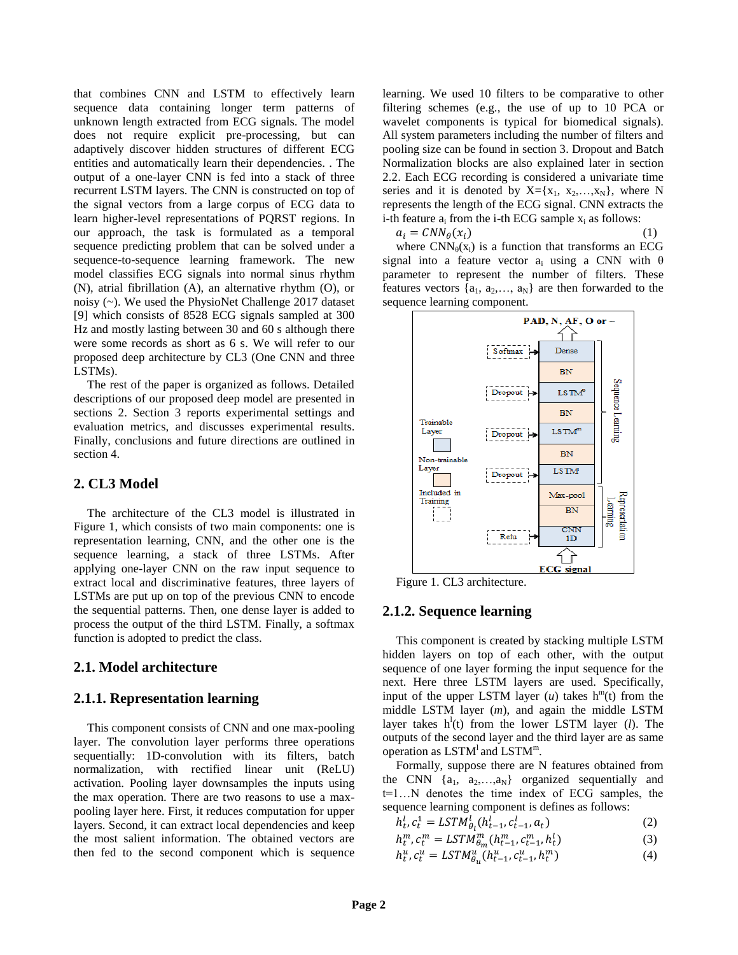that combines CNN and LSTM to effectively learn sequence data containing longer term patterns of unknown length extracted from ECG signals. The model does not require explicit pre-processing, but can adaptively discover hidden structures of different ECG entities and automatically learn their dependencies. . The output of a one-layer CNN is fed into a stack of three recurrent LSTM layers. The CNN is constructed on top of the signal vectors from a large corpus of ECG data to learn higher-level representations of PQRST regions. In our approach, the task is formulated as a temporal sequence predicting problem that can be solved under a sequence-to-sequence learning framework. The new model classifies ECG signals into normal sinus rhythm (N), atrial fibrillation (A), an alternative rhythm (O), or noisy (~). We used the PhysioNet Challenge 2017 dataset [9] which consists of 8528 ECG signals sampled at 300 Hz and mostly lasting between 30 and 60 s although there were some records as short as 6 s. We will refer to our proposed deep architecture by CL3 (One CNN and three LSTMs).

The rest of the paper is organized as follows. Detailed descriptions of our proposed deep model are presented in sections 2. Section 3 reports experimental settings and evaluation metrics, and discusses experimental results. Finally, conclusions and future directions are outlined in section 4.

# **2. CL3 Model**

The architecture of the CL3 model is illustrated in Figure 1, which consists of two main components: one is representation learning, CNN, and the other one is the sequence learning, a stack of three LSTMs. After applying one-layer CNN on the raw input sequence to extract local and discriminative features, three layers of LSTMs are put up on top of the previous CNN to encode the sequential patterns. Then, one dense layer is added to process the output of the third LSTM. Finally, a softmax function is adopted to predict the class.

### **2.1. Model architecture**

### **2.1.1. Representation learning**

This component consists of CNN and one max-pooling layer. The convolution layer performs three operations sequentially: 1D-convolution with its filters, batch normalization, with rectified linear unit (ReLU) activation. Pooling layer downsamples the inputs using the max operation. There are two reasons to use a maxpooling layer here. First, it reduces computation for upper layers. Second, it can extract local dependencies and keep the most salient information. The obtained vectors are then fed to the second component which is sequence

learning. We used 10 filters to be comparative to other filtering schemes (e.g., the use of up to 10 PCA or wavelet components is typical for biomedical signals). All system parameters including the number of filters and pooling size can be found in section 3. Dropout and Batch Normalization blocks are also explained later in section 2.2. Each ECG recording is considered a univariate time series and it is denoted by  $X = \{x_1, x_2, \ldots, x_N\}$ , where N represents the length of the ECG signal. CNN extracts the i-th feature  $a_i$  from the i-th ECG sample  $x_i$  as follows:

$$
a_i = CNN_{\theta}(x_i) \tag{1}
$$

where  $CNN_{\theta}(x_i)$  is a function that transforms an ECG signal into a feature vector a<sub>i</sub> using a CNN with  $\theta$ parameter to represent the number of filters. These features vectors  $\{a_1, a_2, \ldots, a_N\}$  are then forwarded to the sequence learning component.



Figure 1. CL3 architecture.

### **2.1.2. Sequence learning**

This component is created by stacking multiple LSTM hidden layers on top of each other, with the output sequence of one layer forming the input sequence for the next. Here three LSTM layers are used. Specifically, input of the upper LSTM layer  $(u)$  takes  $h^{m}(t)$  from the middle LSTM layer (*m*), and again the middle LSTM layer takes  $h^l(t)$  from the lower LSTM layer (*l*). The outputs of the second layer and the third layer are as same operation as LSTM<sup>1</sup> and LSTM<sup>m</sup>.

Formally, suppose there are N features obtained from the CNN  $\{a_1, a_2,...,a_N\}$  organized sequentially and t=1…N denotes the time index of ECG samples, the sequence learning component is defines as follows:

$$
h_t^l, c_t^1 = LSTM_{\theta_l}^l(h_{t-1}^l, c_{t-1}^l, a_t)
$$
\n(2)

$$
h_t^m, c_t^m = LSTM_{\theta_m}^m(h_{t-1}^m, c_{t-1}^m, h_t^l)
$$
 (3)

$$
h_t^u, c_t^u = LSTM_{\theta_u}^u(h_{t-1}^u, c_{t-1}^u, h_t^m)
$$
\n(4)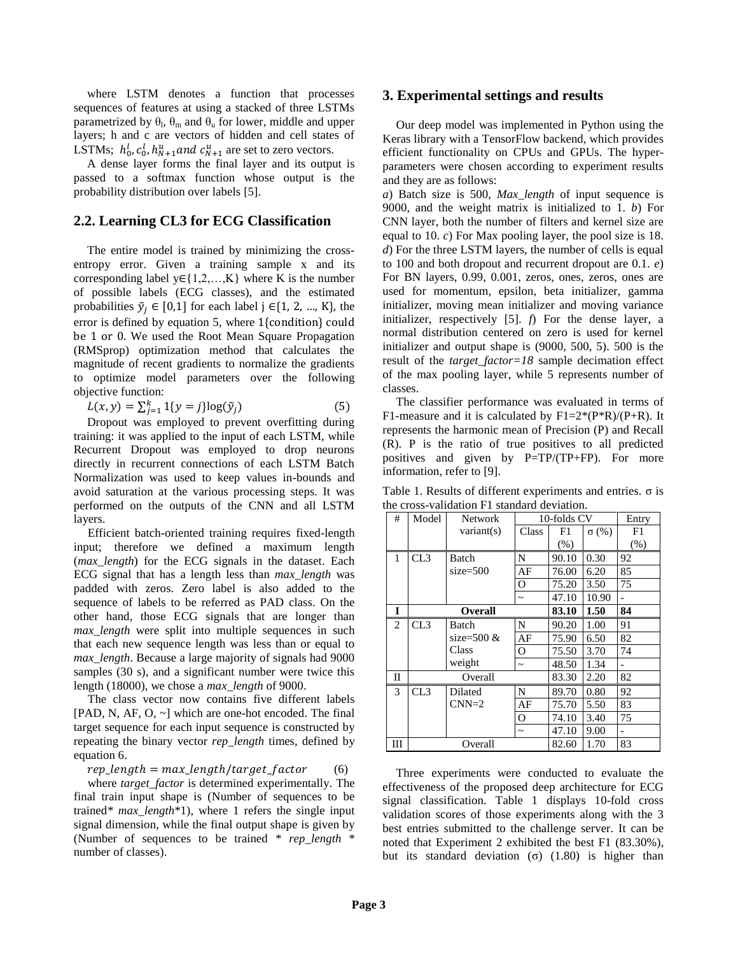where LSTM denotes a function that processes sequences of features at using a stacked of three LSTMs parametrized by  $\theta_{\rm l}$ ,  $\theta_{\rm m}$  and  $\theta_{\rm u}$  for lower, middle and upper layers; h and c are vectors of hidden and cell states of LSTMs;  $h_0^l$ ,  $c_0^l$ ,  $h_{N+1}^u$  and  $c_{N+1}^u$  are set to zero vectors.

A dense layer forms the final layer and its output is passed to a softmax function whose output is the probability distribution over labels [5].

# **2.2. Learning CL3 for ECG Classification**

The entire model is trained by minimizing the crossentropy error. Given a training sample x and its corresponding label  $y \in \{1, 2, \ldots, K\}$  where K is the number of possible labels (ECG classes), and the estimated probabilities  $\tilde{y}_i \in [0,1]$  for each label j  $\in \{1, 2, ..., K\}$ , the error is defined by equation 5, where 1{condition} could be 1 or 0. We used the Root Mean Square Propagation (RMSprop) optimization method that calculates the magnitude of recent gradients to normalize the gradients to optimize model parameters over the following objective function:

$$
L(x, y) = \sum_{j=1}^{k} 1\{y = j\} \log(\tilde{y}_j)
$$
 (5)

Dropout was employed to prevent overfitting during training: it was applied to the input of each LSTM, while Recurrent Dropout was employed to drop neurons directly in recurrent connections of each LSTM Batch Normalization was used to keep values in-bounds and avoid saturation at the various processing steps. It was performed on the outputs of the CNN and all LSTM layers.

Efficient batch-oriented training requires fixed-length input; therefore we defined a maximum length (*max\_length*) for the ECG signals in the dataset. Each ECG signal that has a length less than *max\_length* was padded with zeros. Zero label is also added to the sequence of labels to be referred as PAD class. On the other hand, those ECG signals that are longer than *max\_length* were split into multiple sequences in such that each new sequence length was less than or equal to *max\_length*. Because a large majority of signals had 9000 samples (30 s), and a significant number were twice this length (18000), we chose a *max\_length* of 9000.

The class vector now contains five different labels [PAD, N, AF, O,  $\sim$ ] which are one-hot encoded. The final target sequence for each input sequence is constructed by repeating the binary vector *rep\_length* times, defined by equation 6.

 $rep\_length = max\_length / target\_factor$  (6)

where *target\_factor* is determined experimentally. The final train input shape is (Number of sequences to be trained*\* max\_length*\*1), where 1 refers the single input signal dimension, while the final output shape is given by (Number of sequences to be trained \* *rep\_length* \* number of classes).

# **3. Experimental settings and results**

Our deep model was implemented in Python using the Keras library with a TensorFlow backend, which provides efficient functionality on CPUs and GPUs. The hyperparameters were chosen according to experiment results and they are as follows:

*a*) Batch size is 500, *Max\_length* of input sequence is 9000, and the weight matrix is initialized to 1. *b*) For CNN layer, both the number of filters and kernel size are equal to 10. *c*) For Max pooling layer, the pool size is 18. *d*) For the three LSTM layers, the number of cells is equal to 100 and both dropout and recurrent dropout are 0.1. *e*) For BN layers, 0.99, 0.001, zeros, ones, zeros, ones are used for momentum, epsilon, beta initializer, gamma initializer, moving mean initializer and moving variance initializer, respectively [5]. *f*) For the dense layer, a normal distribution centered on zero is used for kernel initializer and output shape is (9000, 500, 5). 500 is the result of the *target\_factor=18* sample decimation effect of the max pooling layer, while 5 represents number of classes.

The classifier performance was evaluated in terms of F1-measure and it is calculated by  $F1=2*(P*R)/(P+R)$ . It represents the harmonic mean of Precision (P) and Recall (R). P is the ratio of true positives to all predicted positives and given by P=TP/(TP+FP). For more information, refer to [9].

Table 1. Results of different experiments and entries.  $\sigma$  is the cross-validation F1 standard deviation.

| #              | Model          | 10-folds CV<br><b>Network</b> |                       |       | Entry        |                              |
|----------------|----------------|-------------------------------|-----------------------|-------|--------------|------------------------------|
|                |                | variant(s)                    | Class                 | F1    | $\sigma$ (%) | F1                           |
|                |                |                               |                       | (% )  |              | (% )                         |
| 1              | CL3            | <b>Batch</b>                  | N                     | 90.10 | 0.30         | 92                           |
|                |                | $size=500$                    | AF                    | 76.00 | 6.20         | 85                           |
|                |                |                               | О                     | 75.20 | 3.50         | 75                           |
|                |                |                               | $\sim$                | 47.10 | 10.90        |                              |
| I              | <b>Overall</b> |                               |                       | 83.10 | 1.50         | 84                           |
| $\overline{2}$ | CL3            | <b>Batch</b>                  | N                     | 90.20 | 1.00         | 91                           |
|                |                | size= $500 \&$                | AF                    | 75.90 | 6.50         | 82                           |
|                |                | Class                         | O                     | 75.50 | 3.70         | 74                           |
|                |                | weight                        | $\tilde{\phantom{a}}$ | 48.50 | 1.34         | $\qquad \qquad \blacksquare$ |
| П              | Overall        |                               |                       | 83.30 | 2.20         | 82                           |
| 3              | CL3            | Dilated                       | N                     | 89.70 | 0.80         | 92                           |
|                |                | $CNN=2$                       | AF                    | 75.70 | 5.50         | 83                           |
|                |                |                               | O                     | 74.10 | 3.40         | 75                           |
|                |                |                               | $\sim$                | 47.10 | 9.00         |                              |
| Ш              | Overall        |                               |                       | 82.60 | 1.70         | 83                           |

Three experiments were conducted to evaluate the effectiveness of the proposed deep architecture for ECG signal classification. Table 1 displays 10-fold cross validation scores of those experiments along with the 3 best entries submitted to the challenge server. It can be noted that Experiment 2 exhibited the best F1 (83.30%), but its standard deviation  $(σ)$   $(1.80)$  is higher than